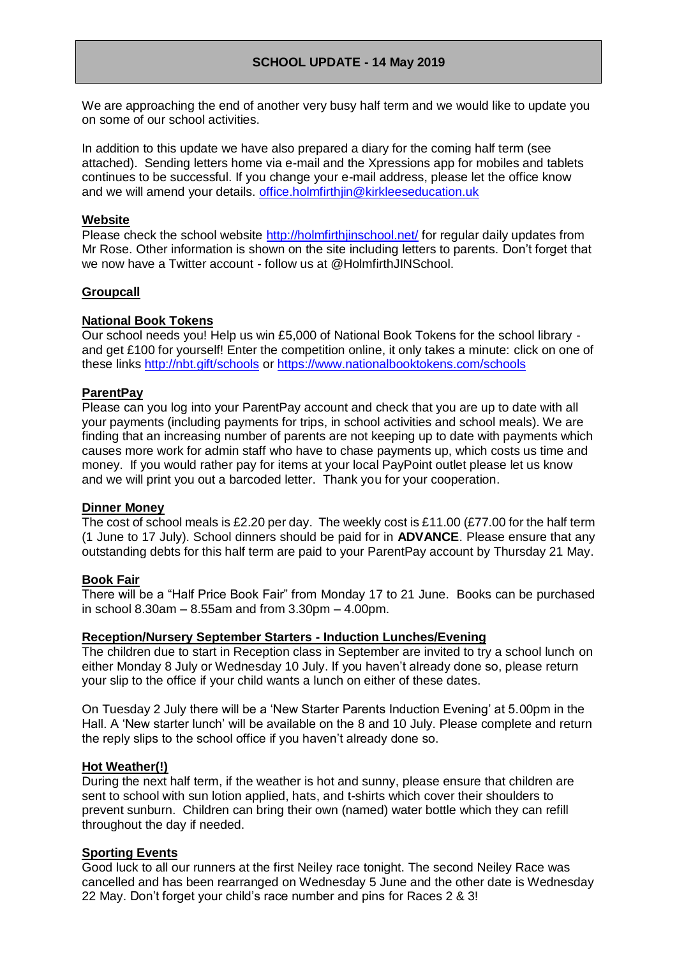# **SCHOOL UPDATE - 14 May 2019**

We are approaching the end of another very busy half term and we would like to update you on some of our school activities.

In addition to this update we have also prepared a diary for the coming half term (see attached). Sending letters home via e-mail and the Xpressions app for mobiles and tablets continues to be successful. If you change your e-mail address, please let the office know and we will amend your details. [office.holmfirthjin@kirkleeseducation.uk](mailto:office.holmfirthjin@kirkleeseducation.uk)

#### **Website**

Please check the school website<http://holmfirthjinschool.net/> for regular daily updates from Mr Rose. Other information is shown on the site including letters to parents. Don't forget that we now have a Twitter account - follow us at @HolmfirthJINSchool.

### **Groupcall**

## **National Book Tokens**

Our school needs you! Help us win £5,000 of National Book Tokens for the school library and get £100 for yourself! Enter the competition online, it only takes a minute: click on one of these links<http://nbt.gift/schools> or<https://www.nationalbooktokens.com/schools>

### **ParentPay**

Please can you log into your ParentPay account and check that you are up to date with all your payments (including payments for trips, in school activities and school meals). We are finding that an increasing number of parents are not keeping up to date with payments which causes more work for admin staff who have to chase payments up, which costs us time and money. If you would rather pay for items at your local PayPoint outlet please let us know and we will print you out a barcoded letter. Thank you for your cooperation.

#### **Dinner Money**

The cost of school meals is £2.20 per day. The weekly cost is £11.00 (£77.00 for the half term (1 June to 17 July). School dinners should be paid for in **ADVANCE**. Please ensure that any outstanding debts for this half term are paid to your ParentPay account by Thursday 21 May.

#### **Book Fair**

There will be a "Half Price Book Fair" from Monday 17 to 21 June. Books can be purchased in school 8.30am – 8.55am and from 3.30pm – 4.00pm.

#### **Reception/Nursery September Starters - Induction Lunches/Evening**

The children due to start in Reception class in September are invited to try a school lunch on either Monday 8 July or Wednesday 10 July. If you haven't already done so, please return your slip to the office if your child wants a lunch on either of these dates.

On Tuesday 2 July there will be a 'New Starter Parents Induction Evening' at 5.00pm in the Hall. A 'New starter lunch' will be available on the 8 and 10 July. Please complete and return the reply slips to the school office if you haven't already done so.

#### **Hot Weather(!)**

During the next half term, if the weather is hot and sunny, please ensure that children are sent to school with sun lotion applied, hats, and t-shirts which cover their shoulders to prevent sunburn. Children can bring their own (named) water bottle which they can refill throughout the day if needed.

#### **Sporting Events**

Good luck to all our runners at the first Neiley race tonight. The second Neiley Race was cancelled and has been rearranged on Wednesday 5 June and the other date is Wednesday 22 May. Don't forget your child's race number and pins for Races 2 & 3!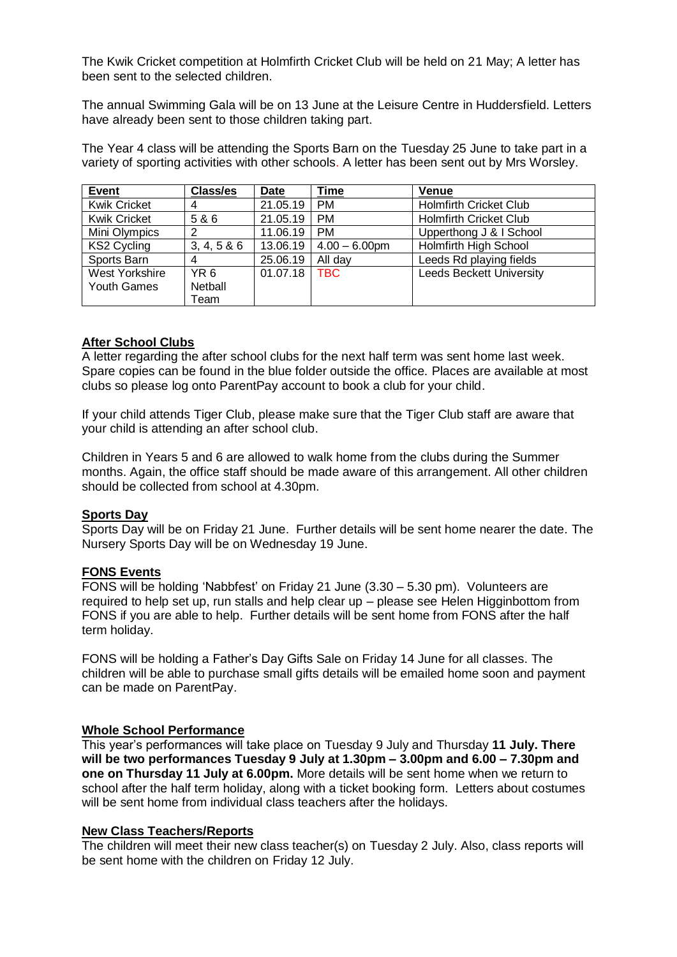The Kwik Cricket competition at Holmfirth Cricket Club will be held on 21 May; A letter has been sent to the selected children.

The annual Swimming Gala will be on 13 June at the Leisure Centre in Huddersfield. Letters have already been sent to those children taking part.

The Year 4 class will be attending the Sports Barn on the Tuesday 25 June to take part in a variety of sporting activities with other schools. A letter has been sent out by Mrs Worsley.

| <b>Event</b>        | <b>Class/es</b> | <b>Date</b> | Time             | Venue                           |
|---------------------|-----------------|-------------|------------------|---------------------------------|
| <b>Kwik Cricket</b> | 4               | 21.05.19    | <b>PM</b>        | <b>Holmfirth Cricket Club</b>   |
| <b>Kwik Cricket</b> | 5 & 6           | 21.05.19    | <b>PM</b>        | <b>Holmfirth Cricket Club</b>   |
| Mini Olympics       | 2               | 11.06.19    | <b>PM</b>        | Upperthong J & I School         |
| KS2 Cycling         | 3, 4, 5 & 6     | 13.06.19    | $4.00 - 6.00$ pm | <b>Holmfirth High School</b>    |
| Sports Barn         |                 | 25.06.19    | All day          | Leeds Rd playing fields         |
| West Yorkshire      | YR 6            | 01.07.18    | TBC.             | <b>Leeds Beckett University</b> |
| Youth Games         | Netball         |             |                  |                                 |
|                     | Team            |             |                  |                                 |

#### **After School Clubs**

A letter regarding the after school clubs for the next half term was sent home last week. Spare copies can be found in the blue folder outside the office. Places are available at most clubs so please log onto ParentPay account to book a club for your child.

If your child attends Tiger Club, please make sure that the Tiger Club staff are aware that your child is attending an after school club.

Children in Years 5 and 6 are allowed to walk home from the clubs during the Summer months. Again, the office staff should be made aware of this arrangement. All other children should be collected from school at 4.30pm.

#### **Sports Day**

Sports Day will be on Friday 21 June. Further details will be sent home nearer the date. The Nursery Sports Day will be on Wednesday 19 June.

#### **FONS Events**

FONS will be holding 'Nabbfest' on Friday 21 June (3.30 – 5.30 pm). Volunteers are required to help set up, run stalls and help clear up – please see Helen Higginbottom from FONS if you are able to help. Further details will be sent home from FONS after the half term holiday.

FONS will be holding a Father's Day Gifts Sale on Friday 14 June for all classes. The children will be able to purchase small gifts details will be emailed home soon and payment can be made on ParentPay.

#### **Whole School Performance**

This year's performances will take place on Tuesday 9 July and Thursday **11 July. There will be two performances Tuesday 9 July at 1.30pm – 3.00pm and 6.00 – 7.30pm and one on Thursday 11 July at 6.00pm.** More details will be sent home when we return to school after the half term holiday, along with a ticket booking form. Letters about costumes will be sent home from individual class teachers after the holidays.

#### **New Class Teachers/Reports**

The children will meet their new class teacher(s) on Tuesday 2 July. Also, class reports will be sent home with the children on Friday 12 July.